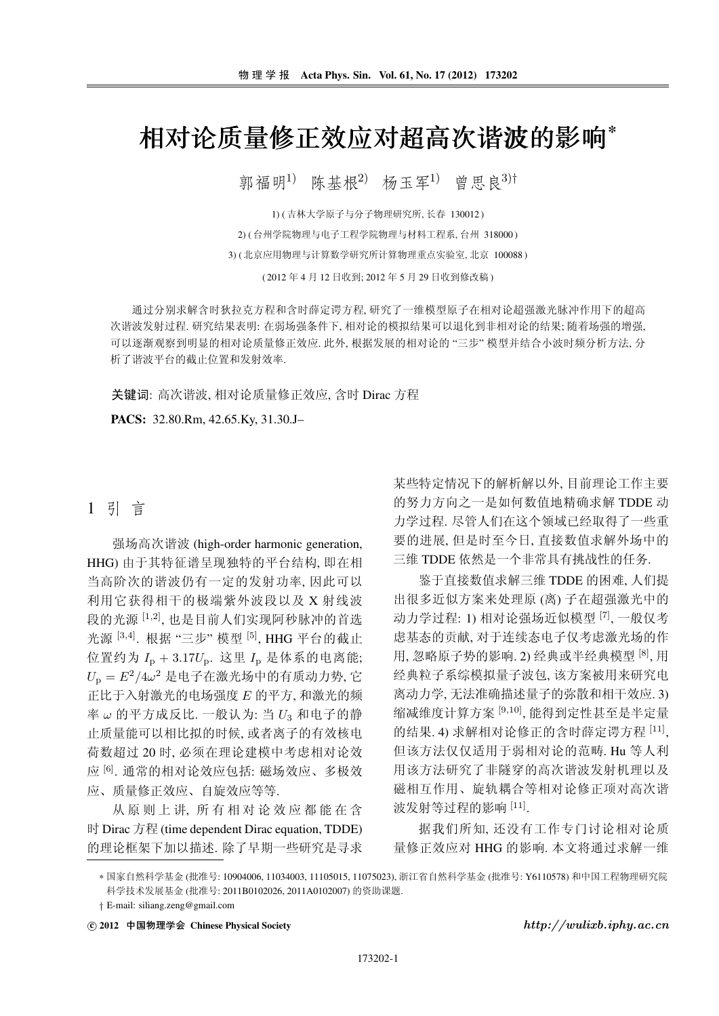## 相对论质量修正效应对超高次谐波的影响\*

郭福明<sup>1)</sup> 陈基根<sup>2)</sup> 杨玉军<sup>1)</sup> 曾思良<sup>3)†</sup>

1) (吉林大学原子与分子物理研究所, 长春 130012) 2) (台州学院物理与电子工程学院物理与材料工程系, 台州 318000) 3) (北京应用物理与计算数学研究所计算物理重点实验室, 北京 100088)

(2012年4月12日收到;2012年5月29日收到修改稿)

通过分别求解含时狄拉克方程和含时薛定谔方程, 研究了一维模型原子在相对论超强激光脉冲作用下的超高 次谐波发射过程,研究结果表明: 在弱场强条件下, 相对论的模拟结果可以退化到非相对论的结果; 随着场强的增强, 可以逐渐观察到明显的相对论质量修正效应. 此外, 根据发展的相对论的 "三步" 模型并结合小波时频分析方法, 分 析了谐波平台的截止位置和发射效率.

关键词: 高次谐波, 相对论质量修正效应, 含时 Dirac 方程

PACS: 32.80.Rm, 42.65.Ky, 31.30.J-

### 1 引 言

强场高次谐波 (high-order harmonic generation, HHG) 由于其特征谱呈现独特的平台结构, 即在相 当高阶次的谐波仍有一定的发射功率,因此可以 利用它获得相干的极端紫外波段以及 X 射线波 段的光源 [1,2], 也是目前人们实现阿秒脉冲的首选 光源<sup>[3,4]</sup>. 根据"三步"模型<sup>[5]</sup>, HHG 平台的截止 位置约为  $I_p + 3.17U_p$ . 这里  $I_p$  是体系的电离能;  $U_{\rm p} = E^2/4\omega^2$ 是电子在激光场中的有质动力势,它 正比于入射激光的电场强度 E 的平方, 和激光的频 率ω的平方成反比. 一般认为: 当 $U_3$  和电子的静 止质量能可以相比拟的时候, 或者离子的有效核电 荷数超过20时,必须在理论建模中考虑相对论效 应[6]. 通常的相对论效应包括: 磁场效应、多极效 应、质量修正效应、自旋效应等等.

从原则上讲, 所有相对论效应都能在含 时 Dirac 方程 (time dependent Dirac equation, TDDE) 的理论框架下加以描述. 除了早期一些研究是寻求 某些特定情况下的解析解以外,目前理论工作主要 的努力方向之一是如何数值地精确求解 TDDE 动 力学过程. 尽管人们在这个领域已经取得了一些重 要的进展,但是时至今日,直接数值求解外场中的 三维 TDDE 依然是一个非常具有挑战性的任务.

鉴于直接数值求解三维 TDDE 的困难, 人们提 出很多近似方案来处理原(离)子在超强激光中的 动力学过程: 1) 相对论强场近似模型 [7], 一般仅考 虑基态的贡献, 对于连续态电子仅考虑激光场的作 用,忽略原子势的影响. 2) 经典或半经典模型 [8], 用 经典粒子系综模拟量子波包,该方案被用来研究电 离动力学. 无法准确描述量子的弥散和相干效应. 3) 缩减维度计算方案 [9,10], 能得到定性甚至是半定量 的结果. 4) 求解相对论修正的含时薛定谔方程 [11], 但该方法仅仅适用于弱相对论的范畴. Hu 等人利 用该方法研究了非隧穿的高次谐波发射机理以及 磁相互作用、旋轨耦合等相对论修正项对高次谐 波发射等过程的影响 [11].

据我们所知, 还没有工作专门讨论相对论质 量修正效应对 HHG 的影响. 本文将通过求解一维

\* 国家自然科学基金(批准号: 10904006, 11034003, 11105015, 11075023), 浙江省自然科学基金(批准号: Y6110578) 和中国工程物理研究院 科学技术发展基金 (批准号: 2011B0102026, 2011A0102007) 的资助课题.

ⓒ 2012 中国物理学会 Chinese Physical Society

 $http://wulixb.iphy.ac.cn$ 

<sup>†</sup> E-mail: siliang.zeng@gmail.com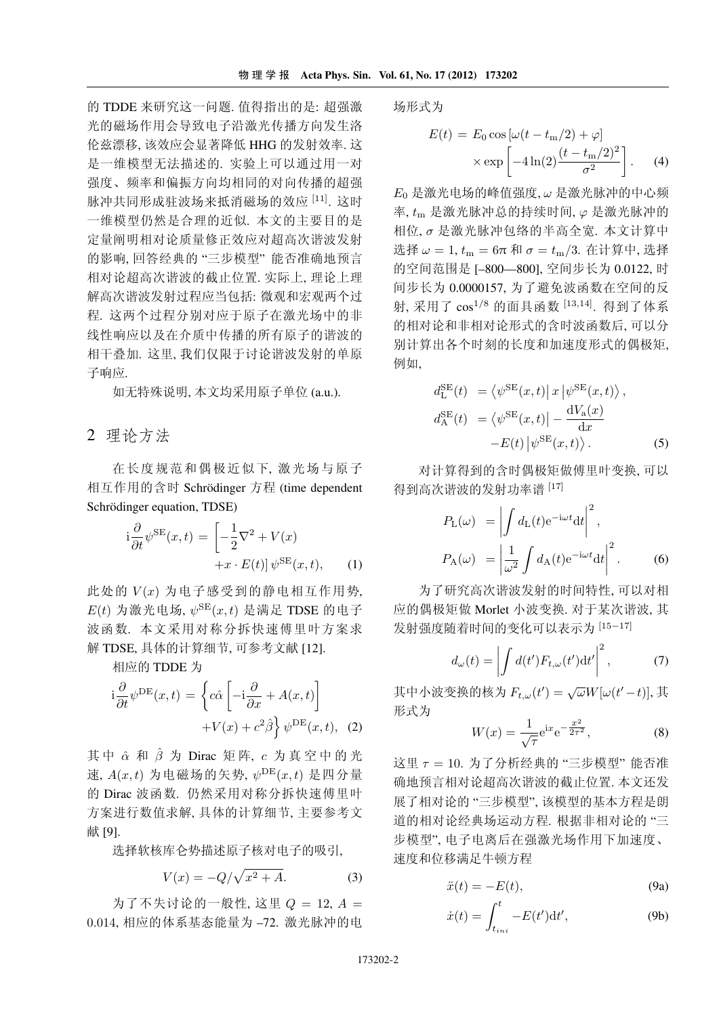的 TDDE 来研究这一问题. 值得指出的是: 超强激 光的磁场作用会导致电子沿激光传播方向发生洛 伦兹漂移,该效应会显著降低 HHG 的发射效率. 这 是一维模型无法描述的. 实验上可以通过用一对 强度、频率和偏振方向均相同的对向传播的超强 脉冲共同形成驻波场来抵消磁场的效应 [11]. 这时 一维模型仍然是合理的近似、本文的主要目的是 定量阐明相对论质量修正效应对超高次谐波发射 的影响,回答经典的"三步模型"能否准确地预言 相对论超高次谐波的截止位置. 实际上, 理论上理 解高次谐波发射过程应当包括: 微观和宏观两个过 程. 这两个过程分别对应于原子在激光场中的非 线性响应以及在介质中传播的所有原子的谐波的 相干叠加. 这里, 我们仅限于讨论谐波发射的单原 子响应.

如无特殊说明,本文均采用原子单位 (a.u.).

#### 2 理论方法

在长度规范和偶极近似下, 激光场与原子 相互作用的含时 Schrödinger 方程 (time dependent Schrödinger equation, TDSE)

$$
i\frac{\partial}{\partial t}\psi^{SE}(x,t) = \left[ -\frac{1}{2}\nabla^2 + V(x) + x \cdot E(t) \right] \psi^{SE}(x,t), \quad (1)
$$

此处的 V(x) 为电子感受到的静电相互作用势,  $E(t)$  为激光电场,  $\psi^{\text{SE}}(x,t)$  是满足 TDSE 的电子 波函数. 本文采用对称分拆快速傅里叶方案求 解 TDSE, 具体的计算细节, 可参考文献 [12].

相应的 TDDE 为

$$
i\frac{\partial}{\partial t}\psi^{DE}(x,t) = \left\{c\hat{\alpha}\left[-i\frac{\partial}{\partial x} + A(x,t)\right] + V(x) + c^2\hat{\beta}\right\}\psi^{DE}(x,t), (2)
$$

其中  $\hat{\alpha}$  和  $\hat{\beta}$  为 Dirac 矩阵,  $c$  为真空中的光 速,  $A(x,t)$ 为电磁场的矢势,  $\psi^{\text{DE}}(x,t)$ 是四分量 的 Dirac 波函数. 仍然采用对称分拆快速傅里叶 方案进行数值求解,具体的计算细节,主要参考文 献 [9].

选择软核库仑势描述原子核对电子的吸引,

$$
V(x) = -Q/\sqrt{x^2 + A}.\tag{3}
$$

为了不失讨论的一般性, 这里  $Q = 12$ ,  $A =$ 0.014, 相应的体系基态能量为-72. 激光脉冲的电 场形式为

$$
E(t) = E_0 \cos \left[\omega (t - t_m/2) + \varphi\right]
$$

$$
\times \exp \left[-4\ln(2) \frac{(t - t_m/2)^2}{\sigma^2}\right].
$$
 (4)

E<sub>0</sub> 是激光电场的峰值强度, ω 是激光脉冲的中心频 率, tm 是激光脉冲总的持续时间, φ 是激光脉冲的 相位, σ 是激光脉冲包络的半高全宽. 本文计算中 选择 ω = 1,  $t_m = 6\pi \bar{m} \sigma = t_m/3$ . 在计算中, 选择 的空间范围是 [-800-800], 空间步长为 0.0122, 时 间步长为 0.0000157, 为了避免波函数在空间的反 射, 采用了 cos<sup>1/8</sup> 的面具函数 [13,14]. 得到了体系 的相对论和非相对论形式的含时波函数后, 可以分 别计算出各个时刻的长度和加速度形式的偶极矩, 例如,

$$
d_{\rm L}^{\rm SE}(t) = \langle \psi^{\rm SE}(x, t) | x | \psi^{\rm SE}(x, t) \rangle,
$$
  
\n
$$
d_{\rm A}^{\rm SE}(t) = \langle \psi^{\rm SE}(x, t) | - \frac{dV_{\rm a}(x)}{dx}
$$
  
\n
$$
-E(t) | \psi^{\rm SE}(x, t) \rangle.
$$
 (5)

对计算得到的含时偶极矩做傅里叶变换, 可以 得到高次谐波的发射功率谱 [17]

$$
P_{\rm L}(\omega) = \left| \int d_{\rm L}(t) e^{-i\omega t} dt \right|^2,
$$
  
\n
$$
P_{\rm A}(\omega) = \left| \frac{1}{\omega^2} \int d_{\rm A}(t) e^{-i\omega t} dt \right|^2.
$$
 (6)

为了研究高次谐波发射的时间特性, 可以对相 应的偶极矩做 Morlet 小波变换. 对于某次谐波, 其 发射强度随着时间的变化可以表示为 [15-17]

$$
d_{\omega}(t) = \left| \int d(t') F_{t,\omega}(t') dt' \right|^2, \tag{7}
$$

其中小波变换的核为  $F_{t,\omega}(t') = \sqrt{\omega} W[\omega(t'-t)],$ 其 形式为

$$
W(x) = \frac{1}{\sqrt{\tau}} e^{ix} e^{-\frac{x^2}{2\tau^2}},
$$
 (8)

这里 τ = 10. 为了分析经典的 "三步模型" 能否准 确地预言相对论超高次谐波的截止位置 本文还发 展了相对论的"三步模型",该模型的基本方程是朗 道的相对论经典场运动方程. 根据非相对论的"三 步模型", 电子电离后在强激光场作用下加速度、 速度和位移满足牛顿方程

$$
\ddot{x}(t) = -E(t),\tag{9a}
$$

$$
\dot{x}(t) = \int_{t_{ini}}^{t} -E(t')dt',\tag{9b}
$$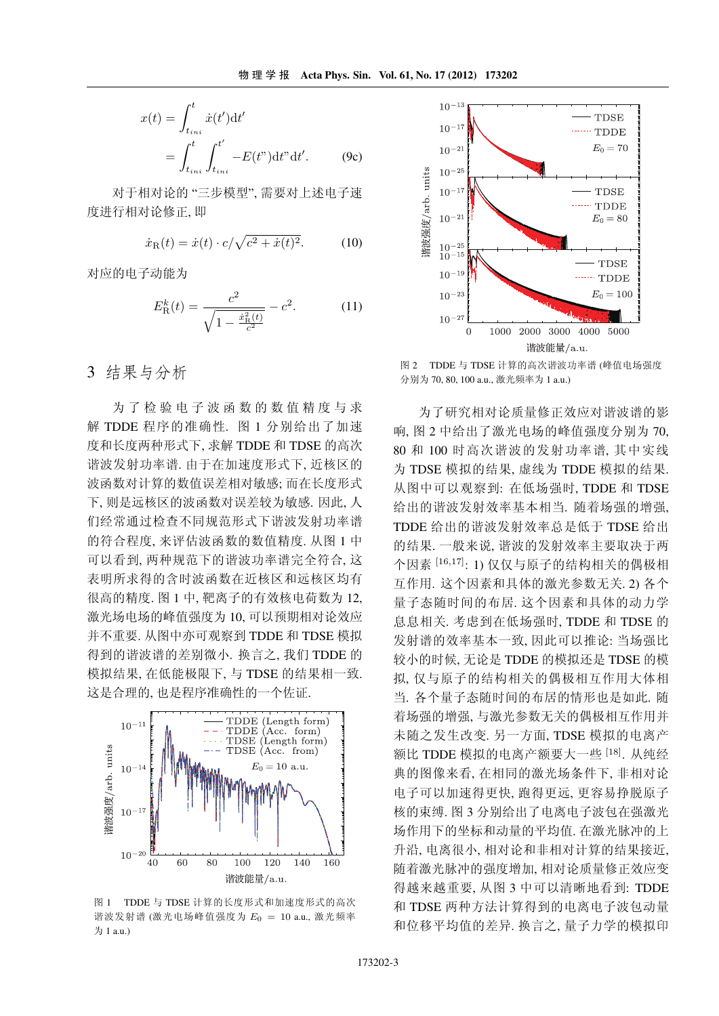$$
x(t) = \int_{t_{ini}}^{t} \dot{x}(t')dt'
$$
  
= 
$$
\int_{t_{ini}}^{t} \int_{t_{ini}}^{t'} -E(t'')dt''dt'.
$$
 (9c)

对于相对论的"三步模型". 需要对上述电子速 度进行相对论修正,即

$$
\dot{x}_{R}(t) = \dot{x}(t) \cdot c / \sqrt{c^2 + \dot{x}(t)^2}.
$$
 (10)

对应的电子动能为

$$
E_{\rm R}^k(t) = \frac{c^2}{\sqrt{1 - \frac{\dot{x}_{\rm R}^2(t)}{c^2}}} - c^2.
$$
 (11)

### 3 结果与分析

为了检验电子波函数的数值精度与求 解 TDDE 程序的准确性. 图 1 分别给出了加速 度和长度两种形式下,求解 TDDE 和 TDSE 的高次 谐波发射功率谱. 由于在加速度形式下, 近核区的 波函数对计算的数值误差相对敏感;而在长度形式 下,则是远核区的波函数对误差较为敏感. 因此, 人 们经常通过检查不同规范形式下谐波发射功率谱 的符合程度,来评估波函数的数值精度. 从图 1 中 可以看到, 两种规范下的谐波功率谱完全符合, 这 表明所求得的含时波函数在近核区和远核区均有 很高的精度. 图 1 中, 靶离子的有效核电荷数为 12, 激光场电场的峰值强度为10. 可以预期相对论效应 并不重要. 从图中亦可观察到 TDDE 和 TDSE 模拟 得到的谐波谱的差别微小. 换言之, 我们 TDDE 的 模拟结果, 在低能极限下, 与 TDSE 的结果相一致. 这是合理的,也是程序准确性的一个佐证.



图 1 TDDE 与 TDSE 计算的长度形式和加速度形式的高次 谐波发射谱(激光电场峰值强度为 $E_0 = 10$  a.u., 激光频率 为 1 a.u.)



图 2 TDDE 与 TDSE 计算的高次谐波功率谱 (峰值电场强度 分别为 70, 80, 100 a.u., 激光频率为 1 a.u.)

为了研究相对论质量修正效应对谐波谱的影 响,图 2 中给出了激光电场的峰值强度分别为70, 80 和 100 时高次谐波的发射功率谱, 其中实线 为 TDSE 模拟的结果, 虚线为 TDDE 模拟的结果. 从图中可以观察到: 在低场强时, TDDE 和 TDSE 给出的谐波发射效率基本相当. 随着场强的增强, TDDE 给出的谐波发射效率总是低于 TDSE 给出 的结果. 一般来说, 谐波的发射效率主要取决于两 个因素 [16,17]: 1) 仅仅与原子的结构相关的偶极相 互作用. 这个因素和具体的激光参数无关. 2) 各个 量子态随时间的布居 这个因素和具体的动力学 息息相关. 考虑到在低场强时, TDDE 和 TDSE 的 发射谱的效率基本一致,因此可以推论:当场强比 较小的时候,无论是 TDDE 的模拟还是 TDSE 的模 拟, 仅与原子的结构相关的偶极相互作用大体相 当, 各个量子态随时间的布居的情形也是如此, 随 着场强的增强,与激光参数无关的偶极相互作用并 未随之发生改变. 另一方面, TDSE 模拟的电离产 额比 TDDE 模拟的电离产额要大一些<sup>[18]</sup>. 从纯经 典的图像来看, 在相同的激光场条件下, 非相对论 电子可以加速得更快, 跑得更远, 更容易挣脱原子 核的束缚. 图 3 分别给出了电离电子波包在强激光 场作用下的坐标和动量的平均值. 在激光脉冲的上 升沿, 电离很小, 相对论和非相对计算的结果接近, 随着激光脉冲的强度增加,相对论质量修正效应变 得越来越重要, 从图 3 中可以清晰地看到: TDDE 和 TDSE 两种方法计算得到的电离电子波包动量 和位移平均值的差异. 换言之, 量子力学的模拟印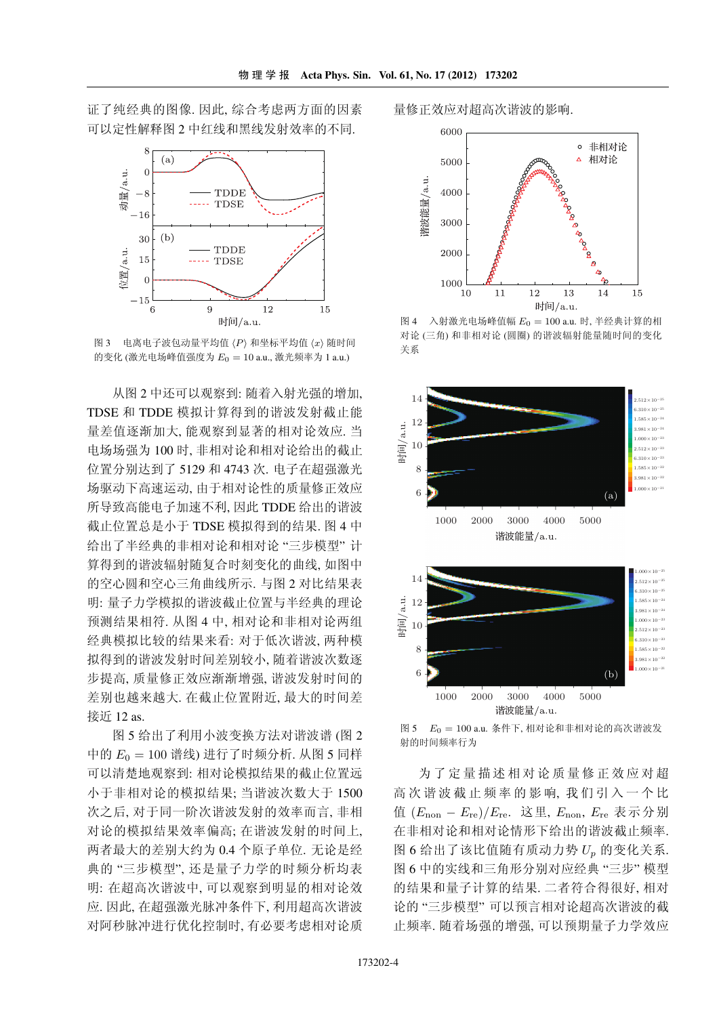证了纯经典的图像. 因此, 综合考虑两方面的因素 可以定性解释图 2 中红线和黑线发射效率的不同.



图 3 电离电子波包动量平均值 (P) 和坐标平均值 (x) 随时间 的变化(激光电场峰值强度为 $E_0 = 10$  a.u., 激光频率为 1 a.u.)

从图 2 中还可以观察到: 随着入射光强的增加, TDSE 和 TDDE 模拟计算得到的谐波发射截止能 量差值逐渐加大,能观察到显著的相对论效应. 当 电场场强为100时, 非相对论和相对论给出的截止 位置分别达到了 5129 和 4743 次. 电子在超强激光 场驱动下高速运动,由于相对论性的质量修正效应 所导致高能电子加速不利,因此 TDDE 给出的谐波 截止位置总是小于 TDSE 模拟得到的结果. 图 4 中 给出了半经典的非相对论和相对论"三步模型"计 算得到的谐波辐射随复合时刻变化的曲线,如图中 的空心圆和空心三角曲线所示. 与图 2 对比结果表 明: 量子力学模拟的谐波截止位置与半经典的理论 预测结果相符. 从图 4 中, 相对论和非相对论两组 经典模拟比较的结果来看: 对于低次谐波, 两种模 拟得到的谐波发射时间差别较小,随着谐波次数逐 步提高,质量修正效应渐渐增强,谐波发射时间的 差别也越来越大. 在截止位置附近, 最大的时间差 接近 12 as.

图 5 给出了利用小波变换方法对谐波谱 (图 2 中的  $E_0 = 100$  谱线) 进行了时频分析. 从图 5 同样 可以清楚地观察到: 相对论模拟结果的截止位置远 小于非相对论的模拟结果; 当谐波次数大于 1500 次之后, 对于同一阶次谐波发射的效率而言, 非相 对论的模拟结果效率偏高;在谐波发射的时间上, 两者最大的差别大约为 0.4 个原子单位. 无论是经 典的"三步模型",还是量子力学的时频分析均表 明: 在超高次谐波中, 可以观察到明显的相对论效 应. 因此, 在超强激光脉冲条件下, 利用超高次谐波 对阿秒脉冲进行优化控制时, 有必要考虑相对论质

量修正效应对超高次谐波的影响.



图 4 入射激光电场峰值幅  $E_0 = 100$  a.u. 时, 半经典计算的相 对论(三角)和非相对论(圆圈)的谐波辐射能量随时间的变化 关系



图 5  $E_0 = 100$  a.u. 条件下, 相对论和非相对论的高次谐波发 射的时间频率行为

为了定量描述相对论质量修正效应对超 高次谐波截止频率的影响, 我们引入一个比 值  $(E_{\text{non}}-E_{\text{re}})/E_{\text{re}}$ . 这里,  $E_{\text{non}}$ ,  $E_{\text{re}}$  表示分别 在非相对论和相对论情形下给出的谐波截止频率. 图 6 给出了该比值随有质动力势 Up 的变化关系. 图 6 中的实线和三角形分别对应经典"三步"模型 的结果和量子计算的结果. 二者符合得很好, 相对 论的"三步模型"可以预言相对论超高次谐波的截 止频率. 随着场强的增强, 可以预期量子力学效应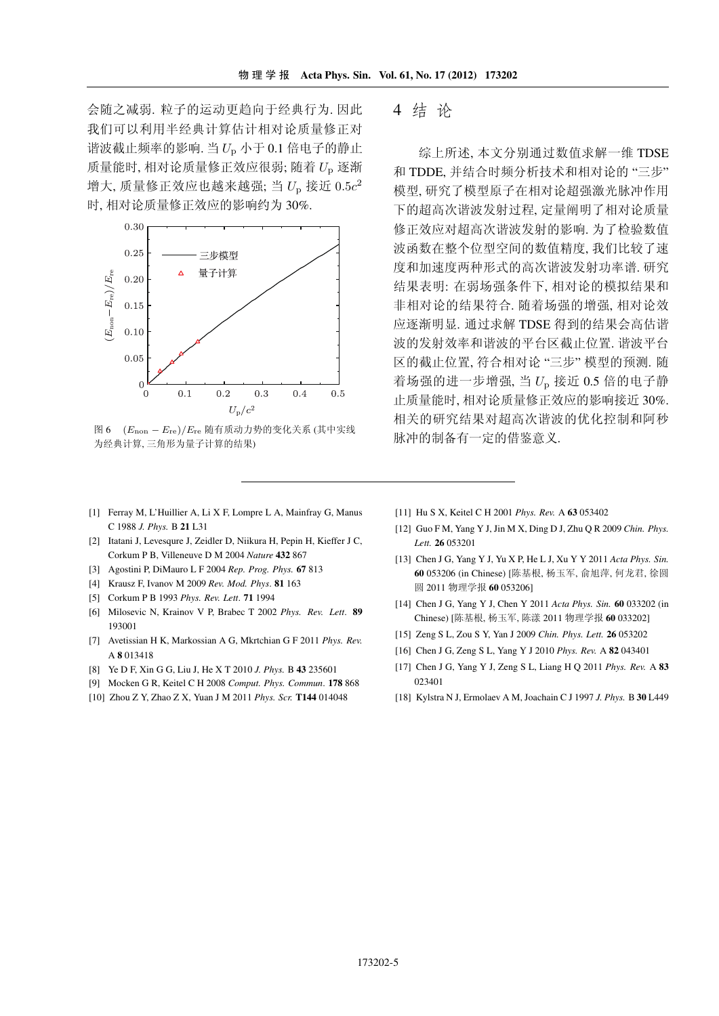会随之减弱. 粒子的运动更趋向于经典行为. 因此 我们可以利用半经典计算估计相对论质量修正对 谐波截止频率的影响. 当  $U_{\rm p}$  小于 0.1 倍电子的静止 质量能时,相对论质量修正效应很弱;随着 Up 逐渐 增大, 质量修正效应也越来越强; 当  $U_{\rm p}$  接近  $0.5c^2$ 时,相对论质量修正效应的影响约为30%.



图 6  $(E_{\text{non}} - E_{\text{re}})/E_{\text{re}}$ 随有质动力势的变化关系(其中实线 为经典计算,三角形为量子计算的结果)

- [1] Ferray M, L'Huillier A, Li X F, Lompre L A, Mainfray G, Manus C 1988 J. Phys. B 21 L31
- [2] Itatani J, Levesqure J, Zeidler D, Niikura H, Pepin H, Kieffer J C, Corkum P B, Villeneuve D M 2004 Nature 432 867
- [3] Agostini P, DiMauro L F 2004 Rep. Prog. Phys. 67 813
- [4] Krausz F, Ivanov M 2009 Rev. Mod. Phys. 81 163
- [5] Corkum P B 1993 Phys. Rev. Lett. 71 1994
- [6] Milosevic N, Krainov V P, Brabec T 2002 Phys. Rev. Lett. 89 193001
- [7] Avetissian H K, Markossian A G, Mkrtchian G F 2011 Phys. Rev. A 8 013418
- [8] Ye D F, Xin G G, Liu J, He X T 2010 J. Phys. B 43 235601
- [9] Mocken G R, Keitel C H 2008 Comput. Phys. Commun. 178 868
- [10] Zhou Z Y, Zhao Z X, Yuan J M 2011 Phys. Scr. T144 014048

### 4 结论

综上所述,本文分别通过数值求解一维 TDSE 和 TDDE, 并结合时频分析技术和相对论的"三步" 模型,研究了模型原子在相对论超强激光脉冲作用 下的超高次谐波发射过程, 定量阐明了相对论质量 修正效应对超高次谐波发射的影响. 为了检验数值 波函数在整个位型空间的数值精度,我们比较了速 度和加速度两种形式的高次谐波发射功率谱. 研究 结果表明: 在弱场强条件下, 相对论的模拟结果和 非相对论的结果符合. 随着场强的增强, 相对论效 应逐渐明显. 通过求解 TDSE 得到的结果会高估谐 波的发射效率和谐波的平台区截止位置, 谐波平台 区的截止位置,符合相对论"三步"模型的预测, 随 着场强的进一步增强,当 $U<sub>D</sub>$ 接近 0.5 倍的电子静 止质量能时,相对论质量修正效应的影响接近30%. 相关的研究结果对超高次谐波的优化控制和阿秒 脉冲的制备有一定的借鉴意义.

- [11] Hu S X, Keitel C H 2001 Phys. Rev. A 63 053402
- [12] Guo F M, Yang Y J, Jin M X, Ding D J, Zhu Q R 2009 Chin. Phys. Lett. 26 053201
- [13] Chen J G, Yang Y J, Yu X P, He L J, Xu Y Y 2011 Acta Phys. Sin. 60 053206 (in Chinese) [陈基根, 杨玉军, 俞旭萍, 何龙君, 徐圆 圆 2011 物理学报 60 053206]
- [14] Chen J G, Yang Y J, Chen Y 2011 Acta Phys. Sin. 60 033202 (in Chinese) [陈基根, 杨玉军, 陈漾 2011 物理学报 60 033202]
- [15] Zeng S L, Zou S Y, Yan J 2009 Chin. Phys. Lett. 26 053202
- [16] Chen J G, Zeng S L, Yang Y J 2010 Phys. Rev. A 82 043401
- [17] Chen J G, Yang Y J, Zeng S L, Liang H Q 2011 Phys. Rev. A 83 023401
- [18] Kylstra N J, Ermolaev A M, Joachain C J 1997 J. Phys. B 30 L449